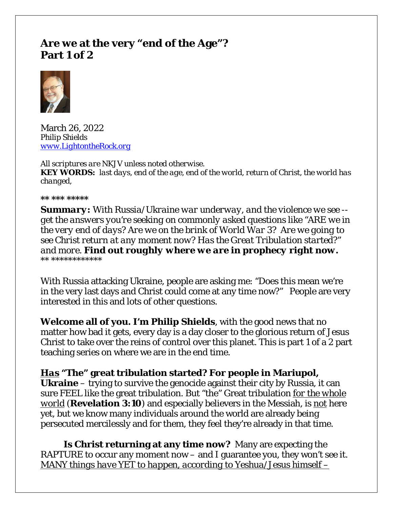# **Are we at the very "end of the Age"? Part 1 of 2**



March 26, 2022 *Philip Shields [www.LightontheRock.org](http://www.lightontherock.org/)*

*All scriptures are NKJV unless noted otherwise. KEY WORDS: last days, end of the age, end of the world, return of Christ, the world has changed,* 

*\*\* \*\*\* \*\*\*\*\** 

*Summary: With Russia/Ukraine war underway, and the violence we see - get the answers you're seeking on commonly asked questions like "ARE we in the very end of days? Are we on the brink of World War 3? Are we going to see Christ return at any moment now? Has the Great Tribulation started?" and more. Find out roughly where we are in prophecy right now. \*\* \*\*\*\*\*\*\*\*\*\*\*\**

With Russia attacking Ukraine, people are asking me: "Does this mean we're in the very last days and Christ could come at any time now?" People are very interested in this and lots of other questions.

**Welcome all of you. I'm Philip Shields**, with the good news that no matter how bad it gets, every day is a day closer to the glorious return of Jesus Christ to take over the reins of control over this planet. This is part 1 of a 2 part teaching series on where we are in the end time.

*Has* **"The" great tribulation started? For people in Mariupol, Ukraine** – trying to survive the genocide against their city by Russia, it can sure FEEL like the great tribulation. But "the" Great tribulation *for the whole world* (**Revelation 3:10**) and especially believers in the Messiah, is *not* here yet, but we know many individuals around the world are already being persecuted mercilessly and for them, they feel they're already in that time.

**Is Christ returning at any time now?** Many are expecting the RAPTURE to occur any moment now – and I guarantee you, they won't see it. *MANY things have YET to happen, according to Yeshua/Jesus himself –*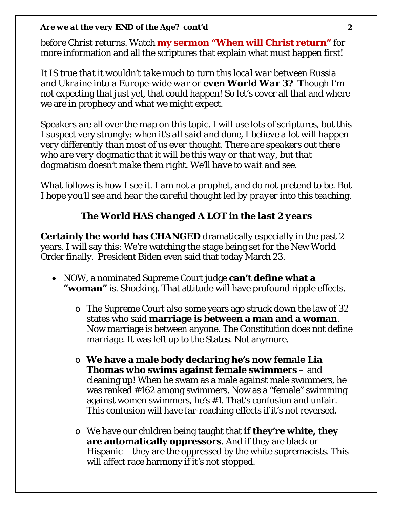*before Christ returns*. Watch **my sermon "When will Christ return"** for more information and all the scriptures that explain what must happen first!

*It IS true that it wouldn't take much to turn this local war between Russia and Ukraine into a Europe-wide war or even World War 3?* **T**hough I'm not expecting that just yet, that could happen! So let's cover all that and where we are in prophecy and what we might expect.

Speakers are all over the map on this topic. I will use lots of scriptures, but this I suspect very strongly: *when it's all said and done, I believe a lot will happen very differently than most of us ever thought. There are speakers out there who are very dogmatic that it will be this way or that way, but that dogmatism doesn't make them right. We'll have to wait and see.* 

*What follows is how I see it. I am not a prophet, and do not pretend to be. But I hope you'll see and hear the careful thought led by prayer into this teaching.* 

## *The World HAS changed A LOT in the last 2 years*

**Certainly the world has CHANGED** dramatically especially in the past 2 years. I *will* say this: We're watching the stage being set for the New World Order finally. President Biden even said that today March 23.

- NOW, a nominated Supreme Court judge **can't define what a "woman"** is. Shocking. That attitude will have profound ripple effects.
	- o The Supreme Court also some years ago struck down the law of 32 states who said **marriage is between a man and a woman**. Now marriage is between anyone. The Constitution does not define marriage. It was left up to the States. Not anymore.
	- o **We have a male body declaring he's now female Lia Thomas who swims against female swimmers** – and cleaning up! When he swam as a male against male swimmers, he was ranked #462 among swimmers. Now as a "female" swimming against women swimmers, he's #1. That's confusion and unfair. This confusion will have far-reaching effects if it's not reversed.
	- o We have our children being taught that **if they're white, they are automatically oppressors**. And if they are black or Hispanic – they are the oppressed by the white supremacists. This will affect race harmony if it's not stopped.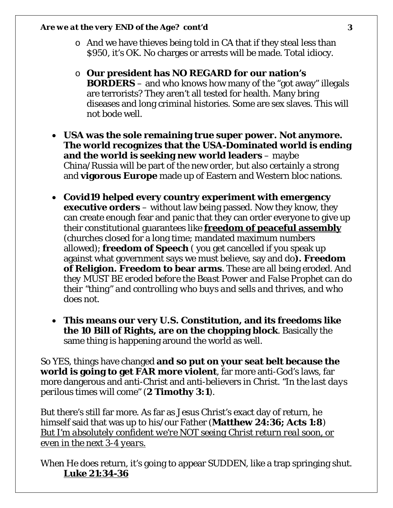- o And we have thieves being told in CA that if they steal less than \$950, it's OK. No charges or arrests will be made. Total idiocy.
- o **Our president has NO REGARD for our nation's BORDERS** – and who knows how many of the "got away" illegals are terrorists? They aren't all tested for health. Many bring diseases and long criminal histories. Some are sex slaves. This will not bode well.
- **USA was the sole remaining true super power. Not anymore. The world recognizes that the USA-Dominated world is ending and the world is seeking new world leaders** – maybe China/Russia will be part of the new order, but also certainly a strong and **vigorous Europe** made up of Eastern and Western bloc nations.
- **Covid19 helped every country experiment with emergency executive orders** – without law being passed. Now they know, they can create enough fear and panic that they can order everyone to give up their constitutional guarantees like **freedom of peaceful assembly** (churches closed for a long time; mandated maximum numbers allowed); **freedom of Speech** ( you get cancelled if you speak up against what government says we must believe, say and do**). Freedom of Religion. Freedom to bear arms**. These are all being eroded. *And they MUST BE eroded before the Beast Power and False Prophet can do their "thing" and controlling who buys and sells and thrives, and who does not.*
- **This means our very U.S. Constitution, and its freedoms like the 10 Bill of Rights, are on the chopping block**. Basically the same thing is happening around the world as well.

So YES, things have changed **and so put on your seat belt because the world is going to get FAR more violent**, far more anti-God's laws, far more dangerous and anti-Christ and anti-believers in Christ. *"In the last days perilous times will come" (***2 Timothy 3:1***).* 

But there's still far more. As far as Jesus Christ's exact day of return, he himself said that was up to his/our Father (**Matthew 24:36; Acts 1:8**) *But I'm absolutely confident we're NOT seeing Christ return real soon, or even in the next 3-4 years.* 

When He *does* return, it's going to appear SUDDEN, like a trap springing shut. **Luke 21:34-36**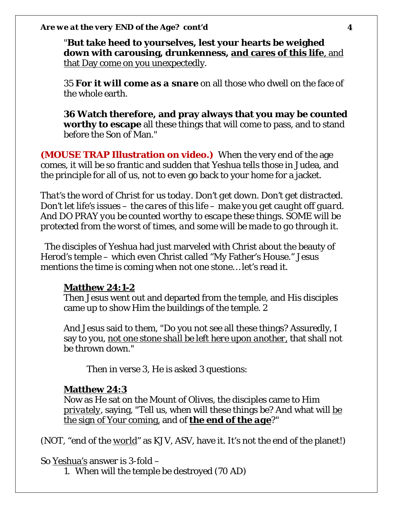"**But take heed to yourselves, lest your hearts be weighed down with carousing, drunkenness, and cares of this life**, and that Day come on you unexpectedly.

35 **For** *it will come as a snare* on all those who dwell on the face of the whole earth.

**36 Watch therefore, and pray always that you may be counted worthy to escape** all these things that will come to pass, and to stand before the Son of Man."

**(MOUSE TRAP Illustration on video.)** When the very end of the age comes, it will be so frantic and sudden that Yeshua tells those in Judea, and the principle for all of us, not to even go back to your home for a jacket.

*That's the word of Christ for us today. Don't get down. Don't get distracted. Don't let life's issues – the cares of this life – make you get caught off guard. And DO PRAY you be counted worthy to escape these things. SOME will be protected from the worst of times, and some will be made to go through it.* 

 The disciples of Yeshua had just marveled with Christ about the beauty of Herod's temple – which even Christ called "My Father's House." Jesus mentions the time is coming when not one stone… let's read it.

### **Matthew 24:1-2**

Then Jesus went out and departed from the temple, and His disciples came up to show Him the buildings of the temple. 2

And Jesus said to them, "Do you not see all these things? Assuredly, I say to you, *not one stone shall be left here upon another,* that shall not be thrown down."

Then in verse 3, He is asked 3 questions:

## **Matthew 24:3**

Now as He sat on the Mount of Olives, the disciples came to Him *privately*, saying, "Tell us, when will these things be? And what will be the sign of Your coming, and of *the end of the age*?"

(NOT, "end of the *world*" as KJV, ASV, have it. It's not the end of the planet!)

So Yeshua's answer is 3-fold –

1. When will the temple be destroyed (70 AD)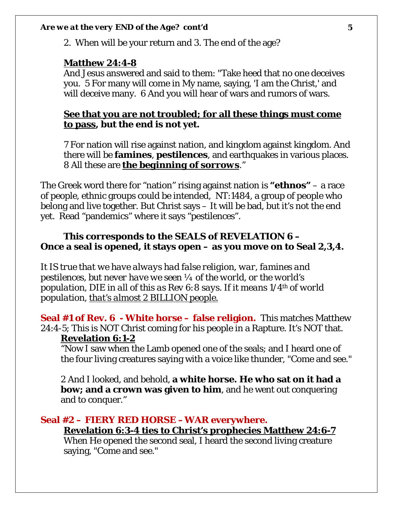2. When will be your return and 3. The end of the age?

#### **Matthew 24:4-8**

And Jesus answered and said to them: "Take heed that no one deceives you. 5 For many will come in My name, saying, 'I am the Christ,' and will deceive many. 6 And you will hear of wars and rumors of wars.

## **See that you are not troubled; for all these things must come to pass, but the end is not yet.**

7 For nation will rise against nation, and kingdom against kingdom. And there will be **famines**, **pestilences**, and earthquakes in various places. 8 All these are *the beginning of sorrows*."

The Greek word there for "nation" rising against nation is **"ethnos"** – a race of people, ethnic groups could be intended, NT:1484, a group of people who belong and live together. But Christ says – It will be bad, but it's not the end yet. Read "pandemics" where it says "pestilences".

## **This corresponds to the SEALS of REVELATION 6 – Once a seal is opened, it stays open – as you move on to Seal 2,3,4.**

*It IS true that we have always had false religion, war, famines and pestilences, but never have we seen ¼ of the world, or the world's population, DIE in all of this as Rev 6:8 says. If it means 1/4th of world population, that's almost 2 BILLION people.*

**Seal #1 of Rev. 6 - White horse – false religion.** This matches Matthew 24:4-5; This is NOT Christ coming for his people in a Rapture. It's NOT that. **Revelation 6:1-2**

"Now I saw when the Lamb opened one of the seals; and I heard one of the four living creatures saying with a voice like thunder, "Come and see."

2 And I looked, and behold, **a white horse. He who sat on it had a bow; and a crown was given to him**, and he went out conquering and to conquer."

# **Seal #2 – FIERY RED HORSE –WAR everywhere.**

**Revelation 6:3-4 ties to Christ's prophecies Matthew 24:6-7**

When He opened the second seal, I heard the second living creature saying, "Come and see."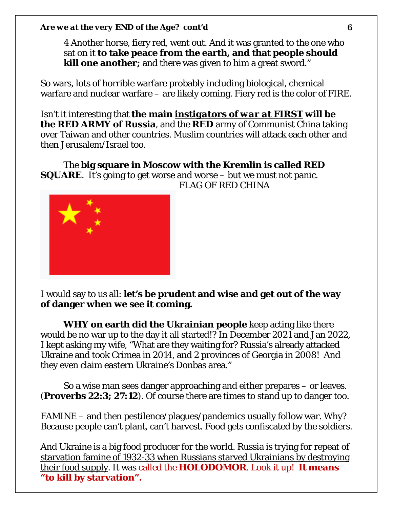4 Another horse, fiery red, went out. And it was granted to the one who sat on it **to take peace from the earth, and that people should kill one another;** and there was given to him a great sword."

So wars, lots of horrible warfare probably including biological, chemical warfare and nuclear warfare – are likely coming. Fiery red is the color of FIRE.

Isn't it interesting that **the main** *instigators of war at FIRST* **will be the RED ARMY of Russia**, and the **RED** army of Communist China taking over Taiwan and other countries. Muslim countries will attack each other and then Jerusalem/Israel too.

The **big square in Moscow with the Kremlin is called RED SQUARE**. It's going to get worse and worse – but we must not panic. FLAG OF RED CHINA



I would say to us all: **let's be prudent and wise and get out of the way of danger when we see it coming.** 

**WHY on earth did the Ukrainian people** keep acting like there would be no war up to the day it all started!? In December 2021 and Jan 2022, I kept asking my wife, "What are they waiting for? Russia's already attacked Ukraine and took Crimea in 2014, and 2 provinces of Georgia in 2008! And they even claim eastern Ukraine's Donbas area."

So a wise man sees danger approaching and either prepares – or leaves. (**Proverbs 22:3; 27:12**). Of course there are times to stand up to danger too.

FAMINE – and then pestilence/plagues/pandemics usually follow war. Why? Because people can't plant, can't harvest. Food gets confiscated by the soldiers.

And Ukraine is a big food producer for the world. Russia is trying for repeat of starvation famine of 1932-33 when Russians starved Ukrainians by destroying their food supply. It was called the **HOLODOMOR**. Look it up! **It means "to kill by starvation".**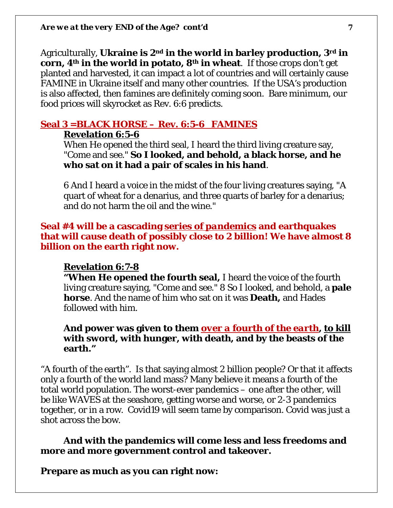Agriculturally, **Ukraine is 2nd in the world in barley production, 3rd in corn, 4th in the world in potato, 8th in wheat**. If those crops don't get planted and harvested, it can impact a lot of countries and will certainly cause FAMINE in Ukraine itself and many other countries. If the USA's production is also affected, then famines are definitely coming soon. Bare minimum, our food prices will skyrocket as Rev. 6:6 predicts.

# **Seal 3 =BLACK HORSE – Rev. 6:5-6 FAMINES**

### **Revelation 6:5-6**

When He opened the third seal, I heard the third living creature say, "Come and see." **So I looked, and behold, a black horse, and he who sat on it had a pair of scales in his hand**.

6 And I heard a voice in the midst of the four living creatures saying, "A quart of wheat for a denarius, and three quarts of barley for a denarius; and do not harm the oil and the wine."

## **Seal #4 will be a cascading** *series of pandemics* **and earthquakes that will cause death of possibly close to 2 billion! We have almost 8 billion on the earth right now.**

#### **Revelation 6:7-8**

**"When He opened the fourth seal,** I heard the voice of the fourth living creature saying, "Come and see." 8 So I looked, and behold, a **pale horse**. And the name of him who sat on it was **Death,** and Hades followed with him.

### **And power was given to them** *over a fourth of the earth***, to kill with sword, with hunger, with death, and by the beasts of the earth."**

"A fourth of the earth". Is that saying almost 2 billion people? Or that it affects only a fourth of the world land mass? Many believe it means a fourth of the total world population. The worst-ever pandemics – one after the other, will be like WAVES at the seashore, getting worse and worse, or 2-3 pandemics together, or in a row. Covid19 will seem tame by comparison. Covid was just a shot across the bow.

### **And with the pandemics will come less and less freedoms and more and more government control and takeover.**

**Prepare as much as you can right now:**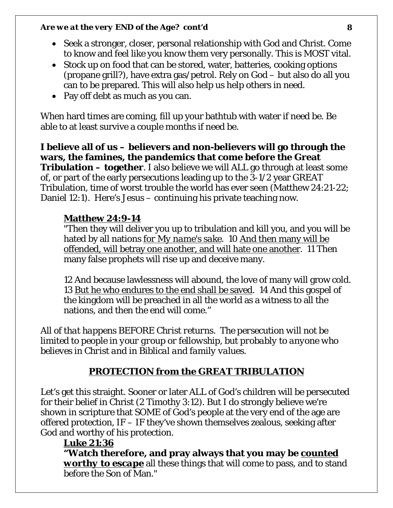- Seek a stronger, closer, personal relationship with God and Christ. Come to know and feel like you know them very personally. This is MOST vital.
- Stock up on food that can be stored, water, batteries, cooking options (propane grill?), have extra gas/petrol. Rely on God – but also do all you can to be prepared. This will also help us help others in need.
- Pay off debt as much as you can.

When hard times are coming, fill up your bathtub with water if need be. Be able to at least survive a couple months if need be.

**I believe all of us – believers and non-believers will go through the wars, the famines, the pandemics that come before the Great Tribulation – together**. I also believe we will ALL go through at least some of, or part of the early persecutions leading up to the 3-1/2 year GREAT Tribulation, time of worst trouble the world has ever seen (Matthew 24:21-22; Daniel 12:1). Here's Jesus – continuing his private teaching now.

## **Matthew 24:9-14**

"Then they will deliver you up to tribulation and kill you, and you will be hated by all nations *for My name's sake*. 10 And then many will be offended, will betray one another, and will hate one another. 11 Then many false prophets will rise up and deceive many.

12 And because lawlessness will abound, the love of many will grow cold. 13 <u>But he who endures to the end shall be saved</u>. 14 And this gospel of the kingdom will be preached in all the world as a witness to all the nations, and then the end will come."

*All of that happens BEFORE Christ returns. The persecution will not be limited to people in your group or fellowship, but probably to anyone who believes in Christ and in Biblical and family values.* 

# *PROTECTION from the GREAT TRIBULATION*

Let's get this straight. Sooner or later ALL of God's children will be persecuted for their belief in Christ (2 Timothy 3:12). But I do strongly believe we're shown in scripture that SOME of God's people at the very end of the age are offered protection, IF – IF they've shown themselves zealous, seeking after God and worthy of his protection.

## **Luke 21:36**

**"Watch therefore, and pray always that you may be** *counted worthy to escape* all these things that will come to pass, and to stand before the Son of Man."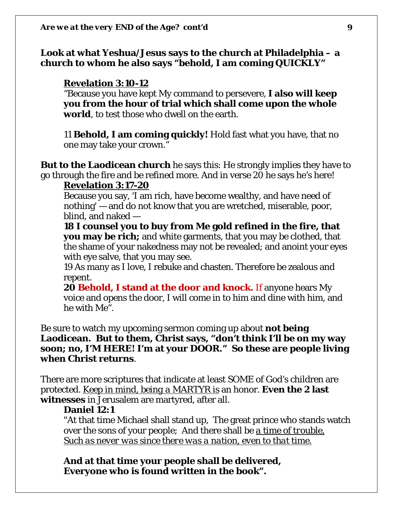**Look at what Yeshua/Jesus says to the church at Philadelphia – a church to whom he also says "behold, I am coming QUICKLY"**

#### **Revelation 3:10-12**

"Because you have kept My command to persevere, **I also will keep you from the hour of trial which shall come upon the whole world**, to test those who dwell on the earth.

11 **Behold, I am coming quickly!** Hold fast what you have, that no one may take your crown."

**But to the Laodicean church** he says this: He strongly implies they have to go through the fire and be refined more. And in verse 20 he says he's here!

#### **Revelation 3:17-20**

Because you say, 'I am rich, have become wealthy, and have need of nothing' — and do not know that you are wretched, miserable, poor, blind, and naked —

**18 I counsel you to buy from Me gold refined in the fire, that you may be rich;** and white garments, that you may be clothed, that the shame of your nakedness may not be revealed; and anoint your eyes with eye salve, that you may see.

19 As many as I love, I rebuke and chasten. Therefore be zealous and repent.

**20 Behold, I stand at the door and knock.** If anyone hears My voice and opens the door, I will come in to him and dine with him, and he with Me".

Be sure to watch my upcoming sermon coming up about **not being Laodicean. But to them, Christ says, "don't think I'll be on my way soon; no, I'M HERE! I'm at your DOOR." So these are people living when Christ returns**.

There are more scriptures that indicate at least SOME of God's children are protected. *Keep in mind, being a MARTYR is* an honor. **Even the 2 last witnesses** in Jerusalem are martyred, after all.

#### **Daniel 12:1**

"At that time Michael shall stand up, The great prince who stands watch over the sons of your people; And there shall be *a time of trouble, Such as never was since there was a nation, even to that time.*

**And at that time your people shall be delivered, Everyone who is found written in the book".**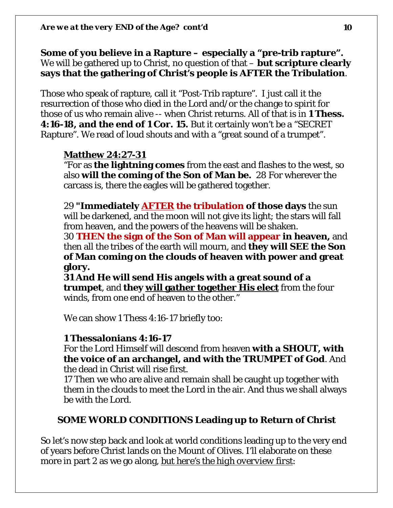**Some of you believe in a Rapture – especially a "pre-trib rapture".**  We will be gathered up to Christ, no question of that – **but scripture clearly says that the gathering of Christ's people is AFTER the Tribulation**.

Those who speak of rapture, call it "Post-Trib rapture". I just call it the resurrection of those who died in the Lord and/or the change to spirit for those of us who remain alive -- when Christ returns. All of that is in **1 Thess. 4:16-18, and the end of 1 Cor. 15.** But it certainly won't be a "SECRET Rapture". We read of loud shouts and with a "great sound of a trumpet".

## **Matthew 24:27-31**

"For as **the lightning comes** from the east and flashes to the west, so also **will the coming of the Son of Man be.** 28 For wherever the carcass is, there the eagles will be gathered together.

29 **"Immediately** *AFTER* **the tribulation of those days** the sun will be darkened, and the moon will not give its light; the stars will fall from heaven, and the powers of the heavens will be shaken.

30 **THEN the sign of the Son of Man will appear in heaven,** and then all the tribes of the earth will mourn, and **they will SEE the Son of Man coming on the clouds of heaven with power and great glory.** 

**31 And He will send His angels with a great sound of a trumpet**, and **they will gather together His elect** from the four winds, from one end of heaven to the other."

We can show 1 Thess 4:16-17 briefly too:

## **1 Thessalonians 4:16-17**

For the Lord Himself will descend from heaven **with a SHOUT, with the voice of an archangel, and with the TRUMPET of God**. And the dead in Christ will rise first.

17 Then we who are alive and remain shall be caught up together with them in the clouds to meet the Lord in the air. And thus we shall always be with the Lord.

## **SOME WORLD CONDITIONS Leading up to Return of Christ**

So let's now step back and look at world conditions leading up to the very end of years before Christ lands on the Mount of Olives. I'll elaborate on these more in part 2 as we go along, *but here's the high overview first*: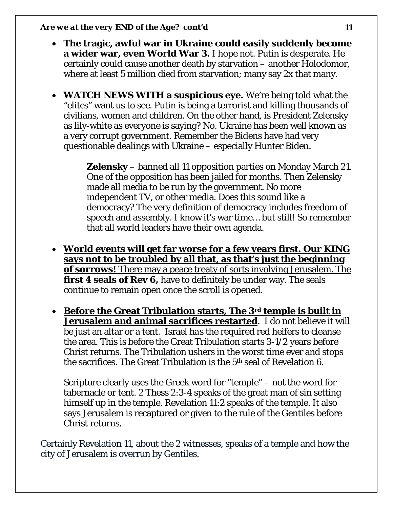- **The tragic, awful war in Ukraine could easily suddenly become a wider war, even World War 3.** I hope not. Putin is desperate. He certainly could cause another death by starvation – another Holodomor, where at least 5 million died from starvation; many say 2x that many.
- **WATCH NEWS WITH a suspicious eye.** We're being told what the "elites" want us to see. Putin is being a terrorist and killing thousands of civilians, women and children. On the other hand, is President Zelensky as lily-white as everyone is saying? No. Ukraine has been well known as a very corrupt government. Remember the Bidens have had very questionable dealings with Ukraine – especially Hunter Biden.

**Zelensky** – banned all 11 opposition parties on Monday March 21. One of the opposition has been jailed for months. Then Zelensky made all media to be run by the government. No more independent TV, or other media. Does this sound like a democracy? The very definition of democracy includes freedom of speech and assembly. I know it's war time… but still! So remember that all world leaders have their own agenda.

- **World events will get far worse for a few years first. Our KING says not to be troubled by all that, as that's just the beginning of sorrows!** There may a peace treaty of sorts involving Jerusalem. The **first 4 seals of Rev 6,** have to definitely be under way. The seals continue to remain open once the scroll is opened.
- **Before the Great Tribulation starts, The 3rd temple is built in Jerusalem and animal sacrifices restarted**. I do not believe it will be just an altar or a tent. Israel *has* the required red heifers to cleanse the area. This is before the Great Tribulation starts 3-1/2 years before Christ returns. The Tribulation ushers in the worst time ever and stops the sacrifices. The Great Tribulation is the 5th seal of Revelation 6.

Scripture clearly uses the Greek word for "temple" – not the word for tabernacle or tent. 2 Thess 2:3-4 speaks of the great man of sin setting himself up in the temple. Revelation 11:2 speaks of the temple. It also says Jerusalem is recaptured or given to the rule of the Gentiles before Christ returns.

Certainly Revelation 11, about the 2 witnesses, speaks of a temple and how the city of Jerusalem is overrun by Gentiles.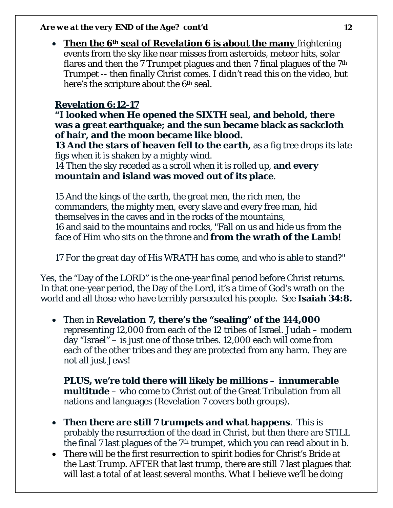• **Then the 6th seal of Revelation 6 is about the many** frightening events from the sky like near misses from asteroids, meteor hits, solar flares and then the 7 Trumpet plagues and then 7 final plagues of the 7th Trumpet -- then finally Christ comes. I didn't read this on the video, but here's the scripture about the 6th seal.

# **Revelation 6:12-17**

**"I looked when He opened the SIXTH seal, and behold, there was a great earthquake; and the sun became black as sackcloth of hair, and the moon became like blood.** 

**13 And the stars of heaven fell to the earth,** as a fig tree drops its late figs when it is shaken by a mighty wind.

14 Then the sky receded as a scroll when it is rolled up, **and every mountain and island was moved out of its place**.

15 And the kings of the earth, the great men, the rich men, the commanders, the mighty men, every slave and every free man, hid themselves in the caves and in the rocks of the mountains, 16 and said to the mountains and rocks, "Fall on us and hide us from the face of Him who sits on the throne and **from the wrath of the Lamb!** 

17 *For the great day of His WRATH has come*, and who is able to stand?"

Yes, the "Day of the LORD" is the one-year final period before Christ returns. In that one-year period, the Day of the Lord, it's a time of God's wrath on the world and all those who have terribly persecuted his people. See **Isaiah 34:8.**

• Then in **Revelation 7, there's the "sealing" of the 144,000**  representing 12,000 from each of the 12 tribes of Israel. Judah – modern day "Israel" – is just one of those tribes. 12,000 each will come from each of the other tribes and they are protected from any harm. They are not all just Jews!

**PLUS, we're told there will likely be millions – innumerable multitude** – who come to Christ out of the Great Tribulation from all nations and languages (Revelation 7 covers both groups).

- **Then there are still 7 trumpets and what happens**. This is probably the resurrection of the dead in Christ, but then there are STILL the final 7 last plagues of the 7th trumpet, which you can read about in b.
- There will be the first resurrection to spirit bodies for Christ's Bride at the Last Trump. AFTER that last trump, there are still 7 last plagues that will last a total of at least several months. What I believe we'll be doing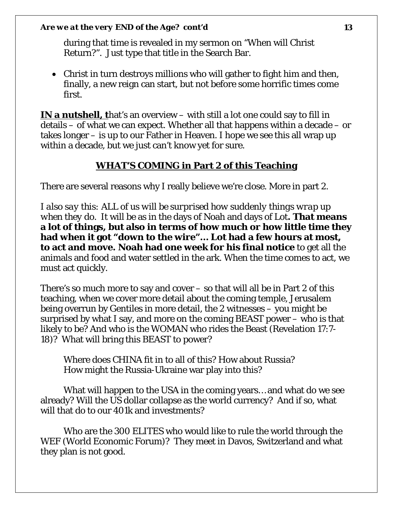during that time is revealed in my sermon on "When will Christ Return?". Just type that title in the Search Bar.

• Christ in turn destroys millions who will gather to fight him and then, finally, a new reign can start, but not before some horrific times come first.

**IN a nutshell, t**hat's an overview – with still a lot one could say to fill in details – of what we can expect. Whether all that happens within a decade – or takes longer – is up to our Father in Heaven. I hope we see this all wrap up within a decade, but we just can't know yet for sure.

## **WHAT'S COMING in Part 2 of this Teaching**

There are several reasons why I really believe we're close. More in part 2.

*I also say this: ALL of us will be surprised how suddenly things wrap up when they do.* It will be as in the days of Noah and days of Lot**. That means a lot of things, but also in terms of how much or how little time they had when it got "down to the wire"… Lot had a few hours at most, to act and move. Noah had one week for his final notice** to get all the animals and food and water settled in the ark. When the time comes to act, we must act quickly.

There's so much more to say and cover – so that will all be in Part 2 of this teaching, when we cover more detail about the coming temple, Jerusalem being overrun by Gentiles in more detail, the 2 witnesses – you might be surprised by what I say, and more on the coming BEAST power – who is that likely to be? And who is the WOMAN who rides the Beast (Revelation 17:7- 18)? What will bring this BEAST to power?

Where does CHINA fit in to all of this? How about Russia? How might the Russia-Ukraine war play into this?

What will happen to the USA in the coming years… and what do we see already? Will the US dollar collapse as the world currency? And if so, what will that do to our 401k and investments?

Who are the 300 ELITES who would like to rule the world through the WEF (World Economic Forum)? They meet in Davos, Switzerland and what they plan is not good.